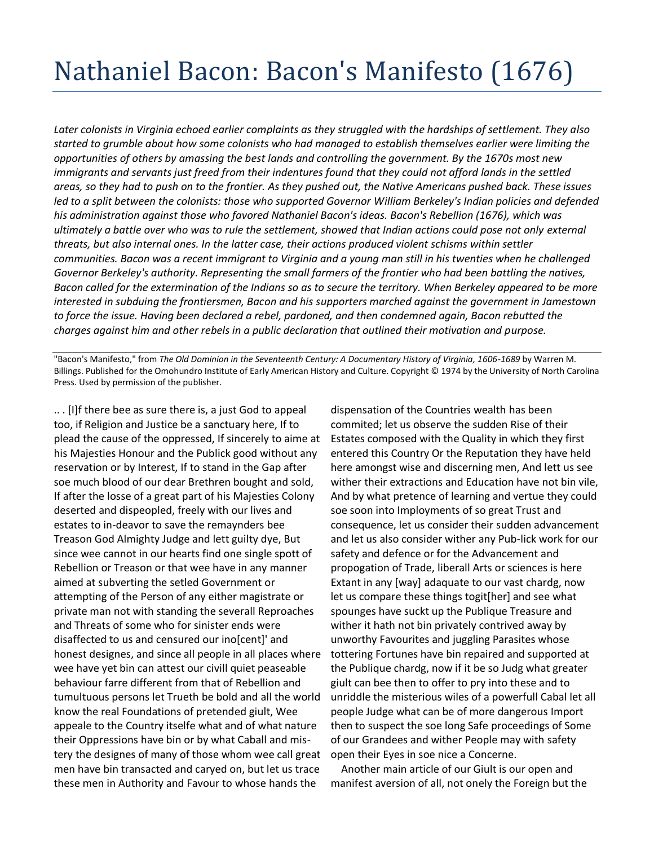## Nathaniel Bacon: Bacon's Manifesto (1676)

*Later colonists in Virginia echoed earlier complaints as they struggled with the hardships of settlement. They also started to grumble about how some colonists who had managed to establish themselves earlier were limiting the opportunities of others by amassing the best lands and controlling the government. By the 1670s most new immigrants and servants just freed from their indentures found that they could not afford lands in the settled areas, so they had to push on to the frontier. As they pushed out, the Native Americans pushed back. These issues led to a split between the colonists: those who supported Governor William Berkeley's Indian policies and defended his administration against those who favored Nathaniel Bacon's ideas. Bacon's Rebellion (1676), which was ultimately a battle over who was to rule the settlement, showed that Indian actions could pose not only external threats, but also internal ones. In the latter case, their actions produced violent schisms within settler communities. Bacon was a recent immigrant to Virginia and a young man still in his twenties when he challenged Governor Berkeley's authority. Representing the small farmers of the frontier who had been battling the natives, Bacon called for the extermination of the Indians so as to secure the territory. When Berkeley appeared to be more interested in subduing the frontiersmen, Bacon and his supporters marched against the government in Jamestown to force the issue. Having been declared a rebel, pardoned, and then condemned again, Bacon rebutted the charges against him and other rebels in a public declaration that outlined their motivation and purpose.*

"Bacon's Manifesto," from *The Old Dominion in the Seventeenth Century: A Documentary History of Virginia, 1606-1689* by Warren M. Billings. Published for the Omohundro Institute of Early American History and Culture. Copyright © 1974 by the University of North Carolina Press. Used by permission of the publisher.

.. . [I]f there bee as sure there is, a just God to appeal too, if Religion and Justice be a sanctuary here, If to plead the cause of the oppressed, If sincerely to aime at his Majesties Honour and the Publick good without any reservation or by Interest, If to stand in the Gap after soe much blood of our dear Brethren bought and sold, If after the losse of a great part of his Majesties Colony deserted and dispeopled, freely with our lives and estates to in-deavor to save the remaynders bee Treason God Almighty Judge and lett guilty dye, But since wee cannot in our hearts find one single spott of Rebellion or Treason or that wee have in any manner aimed at subverting the setled Government or attempting of the Person of any either magistrate or private man not with standing the severall Reproaches and Threats of some who for sinister ends were disaffected to us and censured our ino[cent]' and honest designes, and since all people in all places where wee have yet bin can attest our civill quiet peaseable behaviour farre different from that of Rebellion and tumultuous persons let Trueth be bold and all the world know the real Foundations of pretended giult, Wee appeale to the Country itselfe what and of what nature their Oppressions have bin or by what Caball and mistery the designes of many of those whom wee call great men have bin transacted and caryed on, but let us trace these men in Authority and Favour to whose hands the

dispensation of the Countries wealth has been commited; let us observe the sudden Rise of their Estates composed with the Quality in which they first entered this Country Or the Reputation they have held here amongst wise and discerning men, And lett us see wither their extractions and Education have not bin vile, And by what pretence of learning and vertue they could soe soon into Imployments of so great Trust and consequence, let us consider their sudden advancement and let us also consider wither any Pub-lick work for our safety and defence or for the Advancement and propogation of Trade, liberall Arts or sciences is here Extant in any [way] adaquate to our vast chardg, now let us compare these things togit[her] and see what spounges have suckt up the Publique Treasure and wither it hath not bin privately contrived away by unworthy Favourites and juggling Parasites whose tottering Fortunes have bin repaired and supported at the Publique chardg, now if it be so Judg what greater giult can bee then to offer to pry into these and to unriddle the misterious wiles of a powerfull Cabal let all people Judge what can be of more dangerous Import then to suspect the soe long Safe proceedings of Some of our Grandees and wither People may with safety open their Eyes in soe nice a Concerne.

 Another main article of our Giult is our open and manifest aversion of all, not onely the Foreign but the